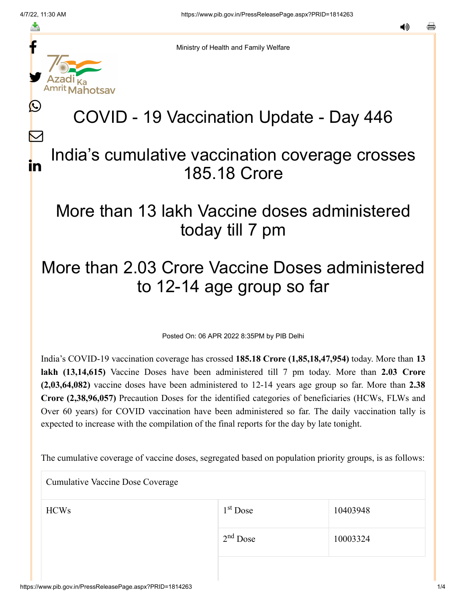f

≛

y.

L

 $\bm{\nabla}$ 

in

Ministry of Health and Family Welfare

# COVID - 19 Vaccination Update - Day 446

#### India's cumulative vaccination coverage crosses 185.18 Crore

### More than 13 lakh Vaccine doses administered today till 7 pm

## More than 2.03 Crore Vaccine Doses administered to 12-14 age group so far

Posted On: 06 APR 2022 8:35PM by PIB Delhi

India's COVID-19 vaccination coverage has crossed **185.18 Crore (1,85,18,47,954)** today. More than **13 lakh (13,14,615)** Vaccine Doses have been administered till 7 pm today. More than **2.03 Crore (2,03,64,082)** vaccine doses have been administered to 12-14 years age group so far. More than **2.38 Crore (2,38,96,057)** Precaution Doses for the identified categories of beneficiaries (HCWs, FLWs and Over 60 years) for COVID vaccination have been administered so far. The daily vaccination tally is expected to increase with the compilation of the final reports for the day by late tonight.

The cumulative coverage of vaccine doses, segregated based on population priority groups, is as follows:

Cumulative Vaccine Dose Coverage

| <b>HCWs</b> | $1st$ Dose | 10403948 |
|-------------|------------|----------|
|             | $2nd$ Dose | 10003324 |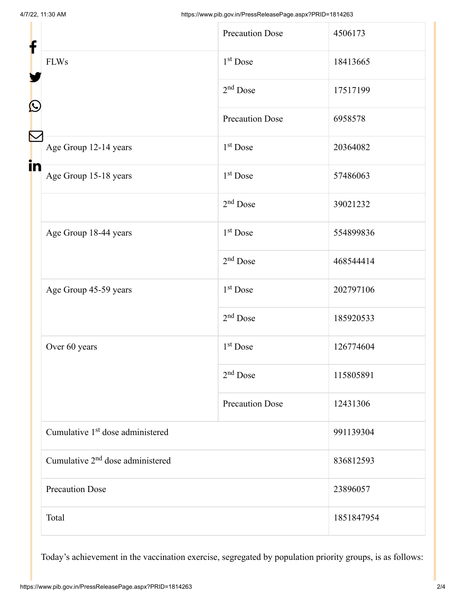| f                                            |                                              | <b>Precaution Dose</b> | 4506173    |
|----------------------------------------------|----------------------------------------------|------------------------|------------|
| <b>FLWs</b>                                  | $1st$ Dose                                   | 18413665               |            |
|                                              | $2nd$ Dose                                   | 17517199               |            |
| C                                            |                                              | <b>Precaution Dose</b> | 6958578    |
|                                              | Age Group 12-14 years                        | $1st$ Dose             | 20364082   |
| in                                           | Age Group 15-18 years                        | $1st$ Dose             | 57486063   |
|                                              |                                              | $2nd$ Dose             | 39021232   |
|                                              | Age Group 18-44 years                        | $1st$ Dose             | 554899836  |
|                                              | $2nd$ Dose                                   | 468544414              |            |
|                                              | Age Group 45-59 years                        | $1st$ Dose             | 202797106  |
|                                              | $2nd$ Dose                                   | 185920533              |            |
|                                              | Over 60 years                                | 1 <sup>st</sup> Dose   | 126774604  |
|                                              | $2nd$ Dose                                   | 115805891              |            |
|                                              | <b>Precaution Dose</b>                       | 12431306               |            |
|                                              | Cumulative 1 <sup>st</sup> dose administered |                        | 991139304  |
| Cumulative 2 <sup>nd</sup> dose administered |                                              | 836812593              |            |
| <b>Precaution Dose</b>                       |                                              | 23896057               |            |
| Total                                        |                                              |                        | 1851847954 |

Today's achievement in the vaccination exercise, segregated by population priority groups, is as follows: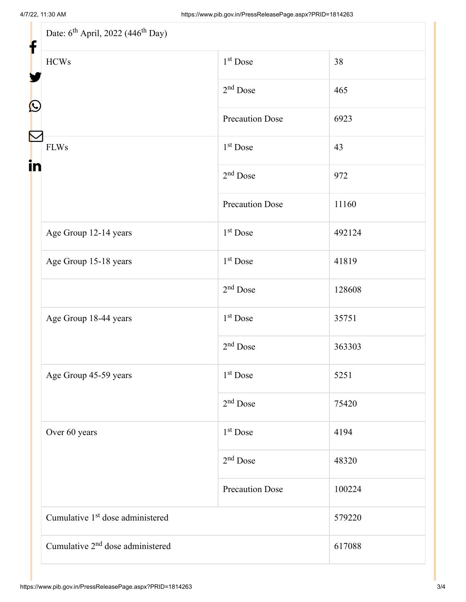| Date: 6 <sup>th</sup> April, 2022 (446 <sup>th</sup> Day) |                        |        |  |  |
|-----------------------------------------------------------|------------------------|--------|--|--|
| <b>HCWs</b>                                               | 1 <sup>st</sup> Dose   | 38     |  |  |
|                                                           | $2nd$ Dose             | 465    |  |  |
|                                                           | <b>Precaution Dose</b> | 6923   |  |  |
| <b>FLWs</b>                                               | 1 <sup>st</sup> Dose   | 43     |  |  |
|                                                           | $2nd$ Dose             | 972    |  |  |
|                                                           | <b>Precaution Dose</b> | 11160  |  |  |
| Age Group 12-14 years                                     | 1 <sup>st</sup> Dose   | 492124 |  |  |
| Age Group 15-18 years                                     | 1 <sup>st</sup> Dose   | 41819  |  |  |
|                                                           | $2nd$ Dose             | 128608 |  |  |
| Age Group 18-44 years                                     | $1st$ Dose             | 35751  |  |  |
|                                                           | $2nd$ Dose             | 363303 |  |  |
| Age Group 45-59 years                                     | 1 <sup>st</sup> Dose   | 5251   |  |  |
|                                                           | $2nd$ Dose             | 75420  |  |  |
| Over 60 years                                             | $1st$ Dose             | 4194   |  |  |
|                                                           | $2nd$ Dose             | 48320  |  |  |
|                                                           | <b>Precaution Dose</b> | 100224 |  |  |
| Cumulative 1 <sup>st</sup> dose administered              |                        | 579220 |  |  |
| Cumulative 2 <sup>nd</sup> dose administered              |                        | 617088 |  |  |